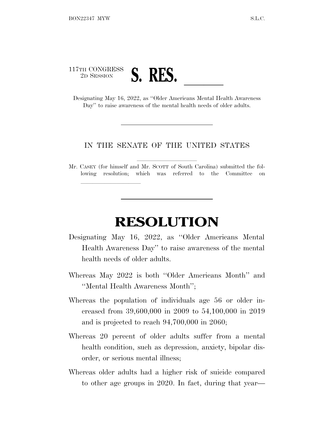

lla se al consegue de la consegue de la consegue de la consegue de la consegue de la consegue de la consegue d<br>La consegue de la consegue de la consegue de la consegue de la consegue de la consegue de la consegue de la co

Day" to raise awareness of the mental health needs of older adults.

## IN THE SENATE OF THE UNITED STATES

Mr. CASEY (for himself and Mr. SCOTT of South Carolina) submitted the following resolution; which was referred to the Committee on

## **RESOLUTION**

- Designating May 16, 2022, as ''Older Americans Mental Health Awareness Day'' to raise awareness of the mental health needs of older adults.
- Whereas May 2022 is both ''Older Americans Month'' and ''Mental Health Awareness Month'';
- Whereas the population of individuals age 56 or older increased from 39,600,000 in 2009 to 54,100,000 in 2019 and is projected to reach 94,700,000 in 2060;
- Whereas 20 percent of older adults suffer from a mental health condition, such as depression, anxiety, bipolar disorder, or serious mental illness;
- Whereas older adults had a higher risk of suicide compared to other age groups in 2020. In fact, during that year—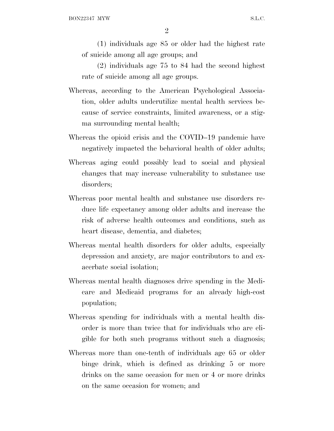2

(1) individuals age 85 or older had the highest rate of suicide among all age groups; and

(2) individuals age 75 to 84 had the second highest rate of suicide among all age groups.

- Whereas, according to the American Psychological Association, older adults underutilize mental health services because of service constraints, limited awareness, or a stigma surrounding mental health;
- Whereas the opioid crisis and the COVID–19 pandemic have negatively impacted the behavioral health of older adults;
- Whereas aging could possibly lead to social and physical changes that may increase vulnerability to substance use disorders;
- Whereas poor mental health and substance use disorders reduce life expectancy among older adults and increase the risk of adverse health outcomes and conditions, such as heart disease, dementia, and diabetes;
- Whereas mental health disorders for older adults, especially depression and anxiety, are major contributors to and exacerbate social isolation;
- Whereas mental health diagnoses drive spending in the Medicare and Medicaid programs for an already high-cost population;
- Whereas spending for individuals with a mental health disorder is more than twice that for individuals who are eligible for both such programs without such a diagnosis;
- Whereas more than one-tenth of individuals age 65 or older binge drink, which is defined as drinking 5 or more drinks on the same occasion for men or 4 or more drinks on the same occasion for women; and